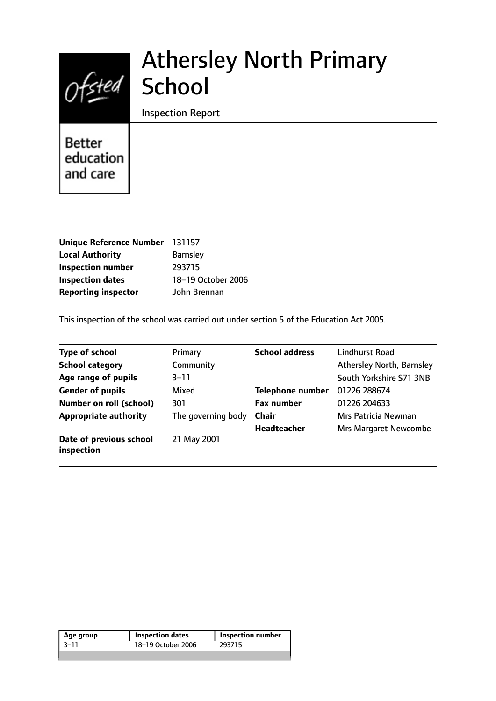# Ofsted School

# Athersley North Primary

Inspection Report

**Better** education and care

| Unique Reference Number 131157 |                    |
|--------------------------------|--------------------|
| <b>Local Authority</b>         | <b>Barnsley</b>    |
| <b>Inspection number</b>       | 293715             |
| <b>Inspection dates</b>        | 18-19 October 2006 |
| <b>Reporting inspector</b>     | John Brennan       |

This inspection of the school was carried out under section 5 of the Education Act 2005.

| <b>Type of school</b>                 | Primary            | <b>School address</b>   | Lindhurst Road               |
|---------------------------------------|--------------------|-------------------------|------------------------------|
| <b>School category</b>                | Community          |                         | Athersley North, Barnsley    |
| Age range of pupils                   | 3–11               |                         | South Yorkshire S71 3NB      |
| <b>Gender of pupils</b>               | Mixed              | <b>Telephone number</b> | 01226 288674                 |
| <b>Number on roll (school)</b>        | 301                | <b>Fax number</b>       | 01226 204633                 |
| <b>Appropriate authority</b>          | The governing body | <b>Chair</b>            | Mrs Patricia Newman          |
|                                       |                    | <b>Headteacher</b>      | <b>Mrs Margaret Newcombe</b> |
| Date of previous school<br>inspection | 21 May 2001        |                         |                              |

| 18-19 October 2006<br>293715 | Age group | <b>Inspection dates</b> | Inspection number |  |
|------------------------------|-----------|-------------------------|-------------------|--|
|                              | -3–11     |                         |                   |  |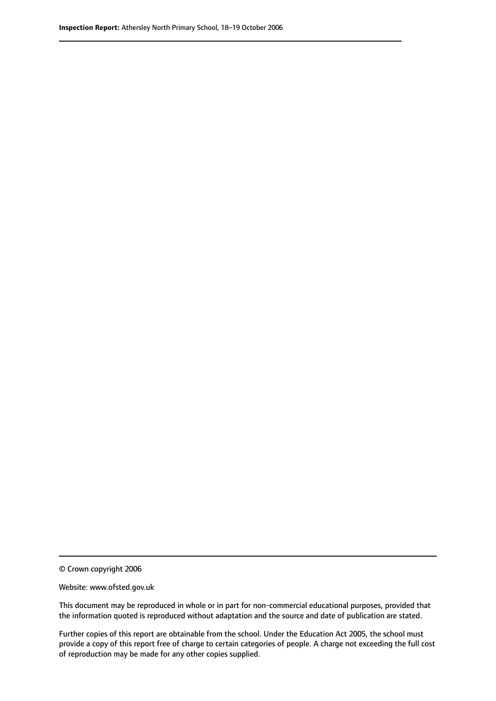© Crown copyright 2006

Website: www.ofsted.gov.uk

This document may be reproduced in whole or in part for non-commercial educational purposes, provided that the information quoted is reproduced without adaptation and the source and date of publication are stated.

Further copies of this report are obtainable from the school. Under the Education Act 2005, the school must provide a copy of this report free of charge to certain categories of people. A charge not exceeding the full cost of reproduction may be made for any other copies supplied.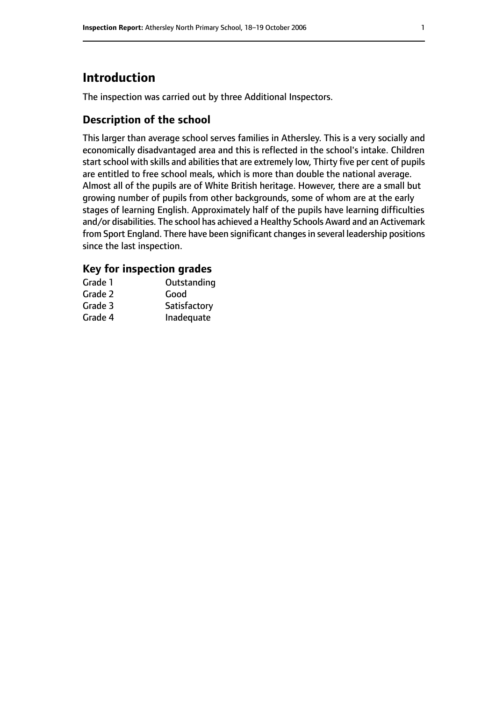# **Introduction**

The inspection was carried out by three Additional Inspectors.

# **Description of the school**

This larger than average school serves families in Athersley. This is a very socially and economically disadvantaged area and this is reflected in the school's intake. Children start school with skills and abilities that are extremely low, Thirty five per cent of pupils are entitled to free school meals, which is more than double the national average. Almost all of the pupils are of White British heritage. However, there are a small but growing number of pupils from other backgrounds, some of whom are at the early stages of learning English. Approximately half of the pupils have learning difficulties and/or disabilities. The school has achieved a Healthy Schools Award and an Activemark from Sport England. There have been significant changes in several leadership positions since the last inspection.

#### **Key for inspection grades**

| Grade 1 | Outstanding  |
|---------|--------------|
| Grade 2 | Good         |
| Grade 3 | Satisfactory |
| Grade 4 | Inadequate   |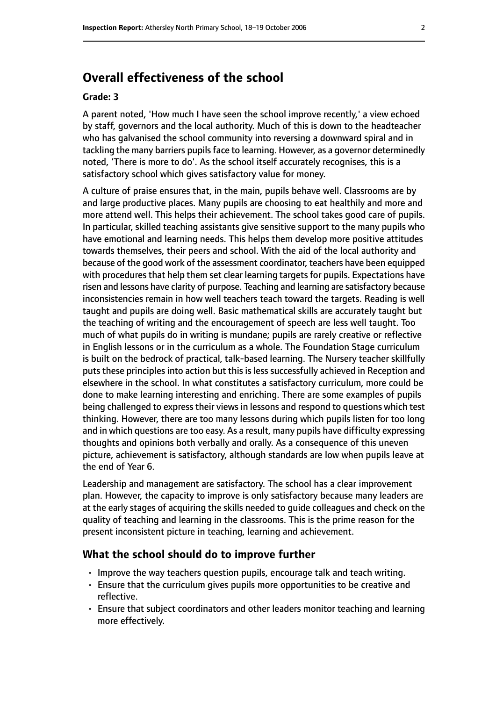# **Overall effectiveness of the school**

#### **Grade: 3**

A parent noted, 'How much I have seen the school improve recently,' a view echoed by staff, governors and the local authority. Much of this is down to the headteacher who has galvanised the school community into reversing a downward spiral and in tackling the many barriers pupils face to learning. However, as a governor determinedly noted, 'There is more to do'. As the school itself accurately recognises, this is a satisfactory school which gives satisfactory value for money.

A culture of praise ensures that, in the main, pupils behave well. Classrooms are by and large productive places. Many pupils are choosing to eat healthily and more and more attend well. This helps their achievement. The school takes good care of pupils. In particular, skilled teaching assistants give sensitive support to the many pupils who have emotional and learning needs. This helps them develop more positive attitudes towards themselves, their peers and school. With the aid of the local authority and because of the good work of the assessment coordinator, teachers have been equipped with procedures that help them set clear learning targets for pupils. Expectations have risen and lessons have clarity of purpose. Teaching and learning are satisfactory because inconsistencies remain in how well teachers teach toward the targets. Reading is well taught and pupils are doing well. Basic mathematical skills are accurately taught but the teaching of writing and the encouragement of speech are less well taught. Too much of what pupils do in writing is mundane; pupils are rarely creative or reflective in English lessons or in the curriculum as a whole. The Foundation Stage curriculum is built on the bedrock of practical, talk-based learning. The Nursery teacher skillfully puts these principles into action but this is less successfully achieved in Reception and elsewhere in the school. In what constitutes a satisfactory curriculum, more could be done to make learning interesting and enriching. There are some examples of pupils being challenged to express their views in lessons and respond to questions which test thinking. However, there are too many lessons during which pupils listen for too long and in which questions are too easy. As a result, many pupils have difficulty expressing thoughts and opinions both verbally and orally. As a consequence of this uneven picture, achievement is satisfactory, although standards are low when pupils leave at the end of Year 6.

Leadership and management are satisfactory. The school has a clear improvement plan. However, the capacity to improve is only satisfactory because many leaders are at the early stages of acquiring the skills needed to guide colleagues and check on the quality of teaching and learning in the classrooms. This is the prime reason for the present inconsistent picture in teaching, learning and achievement.

#### **What the school should do to improve further**

- Improve the way teachers question pupils, encourage talk and teach writing.
- Ensure that the curriculum gives pupils more opportunities to be creative and reflective.
- Ensure that subject coordinators and other leaders monitor teaching and learning more effectively.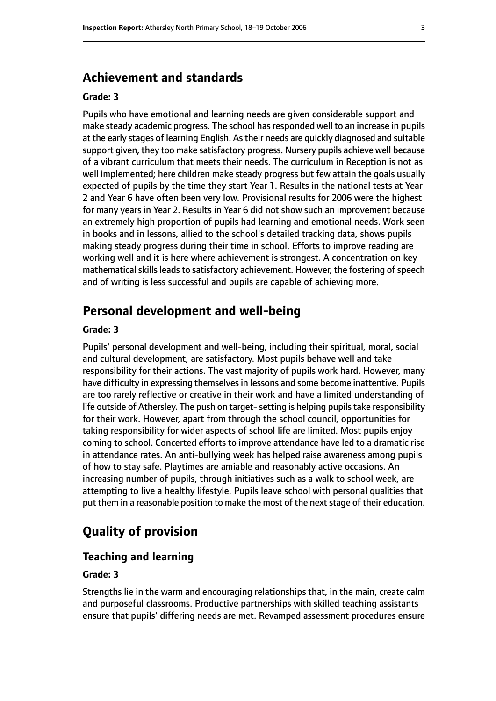# **Achievement and standards**

#### **Grade: 3**

Pupils who have emotional and learning needs are given considerable support and make steady academic progress. The school has responded well to an increase in pupils at the early stages of learning English. Astheir needs are quickly diagnosed and suitable support given, they too make satisfactory progress. Nursery pupils achieve well because of a vibrant curriculum that meets their needs. The curriculum in Reception is not as well implemented; here children make steady progress but few attain the goals usually expected of pupils by the time they start Year 1. Results in the national tests at Year 2 and Year 6 have often been very low. Provisional results for 2006 were the highest for many years in Year 2. Results in Year 6 did not show such an improvement because an extremely high proportion of pupils had learning and emotional needs. Work seen in books and in lessons, allied to the school's detailed tracking data, shows pupils making steady progress during their time in school. Efforts to improve reading are working well and it is here where achievement is strongest. A concentration on key mathematical skills leads to satisfactory achievement. However, the fostering of speech and of writing is less successful and pupils are capable of achieving more.

## **Personal development and well-being**

#### **Grade: 3**

Pupils' personal development and well-being, including their spiritual, moral, social and cultural development, are satisfactory. Most pupils behave well and take responsibility for their actions. The vast majority of pupils work hard. However, many have difficulty in expressing themselves in lessons and some become inattentive. Pupils are too rarely reflective or creative in their work and have a limited understanding of life outside of Athersley. The push on target-setting is helping pupils take responsibility for their work. However, apart from through the school council, opportunities for taking responsibility for wider aspects of school life are limited. Most pupils enjoy coming to school. Concerted efforts to improve attendance have led to a dramatic rise in attendance rates. An anti-bullying week has helped raise awareness among pupils of how to stay safe. Playtimes are amiable and reasonably active occasions. An increasing number of pupils, through initiatives such as a walk to school week, are attempting to live a healthy lifestyle. Pupils leave school with personal qualities that put them in a reasonable position to make the most of the next stage of their education.

# **Quality of provision**

#### **Teaching and learning**

#### **Grade: 3**

Strengths lie in the warm and encouraging relationships that, in the main, create calm and purposeful classrooms. Productive partnerships with skilled teaching assistants ensure that pupils' differing needs are met. Revamped assessment procedures ensure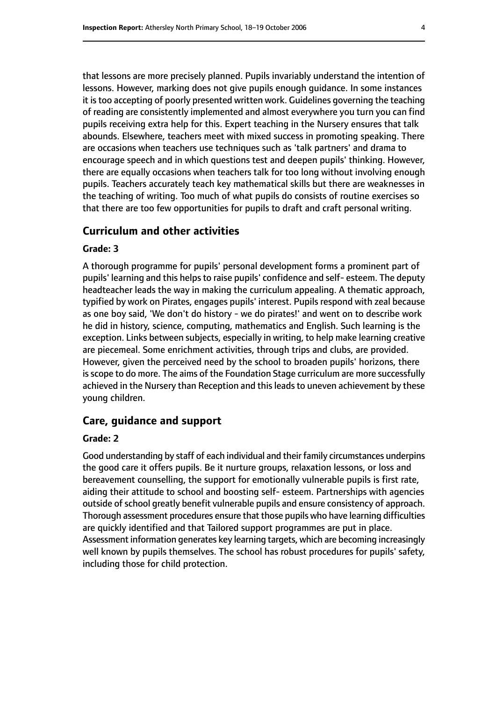that lessons are more precisely planned. Pupils invariably understand the intention of lessons. However, marking does not give pupils enough guidance. In some instances it is too accepting of poorly presented written work. Guidelines governing the teaching of reading are consistently implemented and almost everywhere you turn you can find pupils receiving extra help for this. Expert teaching in the Nursery ensures that talk abounds. Elsewhere, teachers meet with mixed success in promoting speaking. There are occasions when teachers use techniques such as 'talk partners' and drama to encourage speech and in which questions test and deepen pupils' thinking. However, there are equally occasions when teachers talk for too long without involving enough pupils. Teachers accurately teach key mathematical skills but there are weaknesses in the teaching of writing. Too much of what pupils do consists of routine exercises so that there are too few opportunities for pupils to draft and craft personal writing.

#### **Curriculum and other activities**

#### **Grade: 3**

A thorough programme for pupils' personal development forms a prominent part of pupils' learning and this helps to raise pupils' confidence and self- esteem. The deputy headteacher leads the way in making the curriculum appealing. A thematic approach, typified by work on Pirates, engages pupils' interest. Pupils respond with zeal because as one boy said, 'We don't do history - we do pirates!' and went on to describe work he did in history, science, computing, mathematics and English. Such learning is the exception. Links between subjects, especially in writing, to help make learning creative are piecemeal. Some enrichment activities, through trips and clubs, are provided. However, given the perceived need by the school to broaden pupils' horizons, there is scope to do more. The aims of the Foundation Stage curriculum are more successfully achieved in the Nursery than Reception and this leads to uneven achievement by these young children.

## **Care, guidance and support**

#### **Grade: 2**

Good understanding by staff of each individual and their family circumstances underpins the good care it offers pupils. Be it nurture groups, relaxation lessons, or loss and bereavement counselling, the support for emotionally vulnerable pupils is first rate, aiding their attitude to school and boosting self- esteem. Partnerships with agencies outside of school greatly benefit vulnerable pupils and ensure consistency of approach. Thorough assessment procedures ensure that those pupils who have learning difficulties are quickly identified and that Tailored support programmes are put in place. Assessment information generates key learning targets, which are becoming increasingly well known by pupils themselves. The school has robust procedures for pupils' safety, including those for child protection.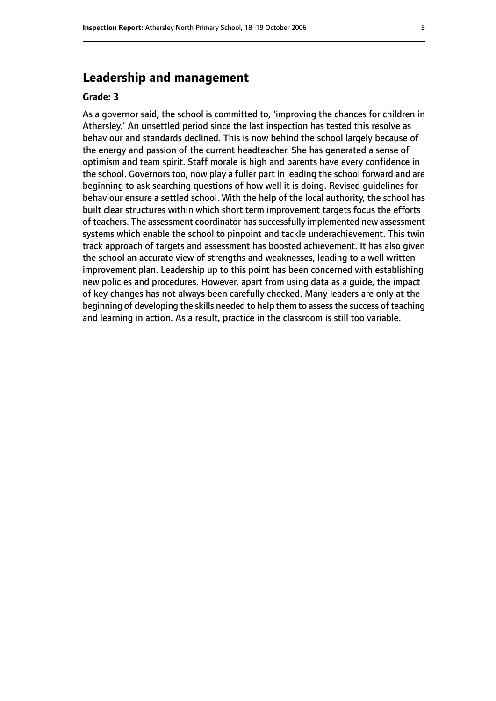# **Leadership and management**

#### **Grade: 3**

As a governor said, the school is committed to, 'improving the chances for children in Athersley.' An unsettled period since the last inspection has tested this resolve as behaviour and standards declined. This is now behind the school largely because of the energy and passion of the current headteacher. She has generated a sense of optimism and team spirit. Staff morale is high and parents have every confidence in the school. Governors too, now play a fuller part in leading the school forward and are beginning to ask searching questions of how well it is doing. Revised guidelines for behaviour ensure a settled school. With the help of the local authority, the school has built clear structures within which short term improvement targets focus the efforts of teachers. The assessment coordinator has successfully implemented new assessment systems which enable the school to pinpoint and tackle underachievement. This twin track approach of targets and assessment has boosted achievement. It has also given the school an accurate view of strengths and weaknesses, leading to a well written improvement plan. Leadership up to this point has been concerned with establishing new policies and procedures. However, apart from using data as a guide, the impact of key changes has not always been carefully checked. Many leaders are only at the beginning of developing the skills needed to help them to assess the success of teaching and learning in action. As a result, practice in the classroom is still too variable.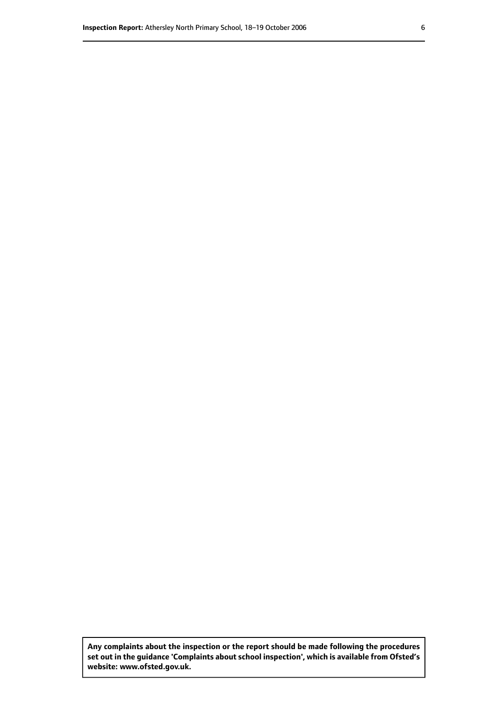**Any complaints about the inspection or the report should be made following the procedures set out inthe guidance 'Complaints about school inspection', whichis available from Ofsted's website: www.ofsted.gov.uk.**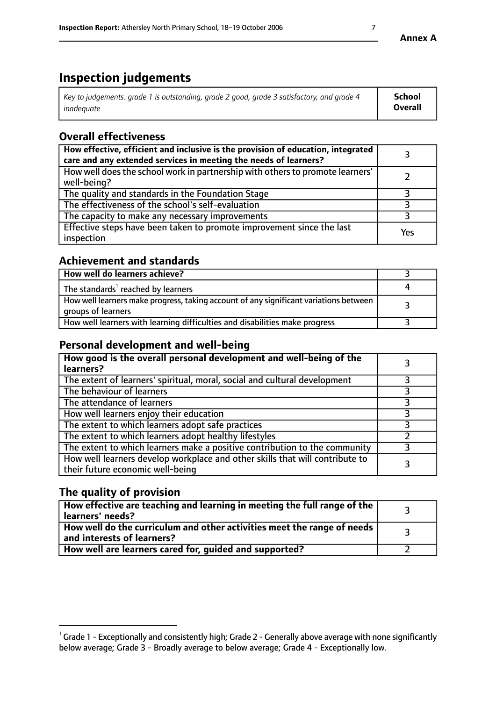# **Inspection judgements**

| Key to judgements: grade 1 is outstanding, grade 2 good, grade 3 satisfactory, and grade 4 | <b>School</b>  |
|--------------------------------------------------------------------------------------------|----------------|
| inadeauate                                                                                 | <b>Overall</b> |

# **Overall effectiveness**

| How effective, efficient and inclusive is the provision of education, integrated<br>care and any extended services in meeting the needs of learners? |     |
|------------------------------------------------------------------------------------------------------------------------------------------------------|-----|
| How well does the school work in partnership with others to promote learners'<br>well-being?                                                         |     |
| The quality and standards in the Foundation Stage                                                                                                    |     |
| The effectiveness of the school's self-evaluation                                                                                                    |     |
| The capacity to make any necessary improvements                                                                                                      |     |
| Effective steps have been taken to promote improvement since the last<br>inspection                                                                  | Yes |

# **Achievement and standards**

| How well do learners achieve?                                                                               |  |
|-------------------------------------------------------------------------------------------------------------|--|
| The standards <sup>1</sup> reached by learners                                                              |  |
| How well learners make progress, taking account of any significant variations between<br>groups of learners |  |
| How well learners with learning difficulties and disabilities make progress                                 |  |

# **Personal development and well-being**

| How good is the overall personal development and well-being of the<br>learners?                                  |  |
|------------------------------------------------------------------------------------------------------------------|--|
| The extent of learners' spiritual, moral, social and cultural development                                        |  |
| The behaviour of learners                                                                                        |  |
| The attendance of learners                                                                                       |  |
| How well learners enjoy their education                                                                          |  |
| The extent to which learners adopt safe practices                                                                |  |
| The extent to which learners adopt healthy lifestyles                                                            |  |
| The extent to which learners make a positive contribution to the community                                       |  |
| How well learners develop workplace and other skills that will contribute to<br>their future economic well-being |  |

# **The quality of provision**

| $\Box$ How effective are teaching and learning in meeting the full range of the $\Box$<br>  learners' needs?        |  |
|---------------------------------------------------------------------------------------------------------------------|--|
| $\mid$ How well do the curriculum and other activities meet the range of needs<br>$\mid$ and interests of learners? |  |
| How well are learners cared for, guided and supported?                                                              |  |

 $^1$  Grade 1 - Exceptionally and consistently high; Grade 2 - Generally above average with none significantly below average; Grade 3 - Broadly average to below average; Grade 4 - Exceptionally low.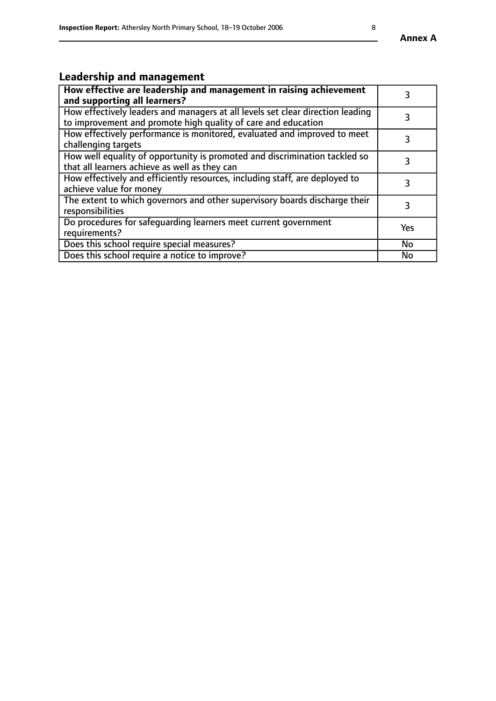# **Leadership and management**

| How effective are leadership and management in raising achievement<br>and supporting all learners?                                              |           |
|-------------------------------------------------------------------------------------------------------------------------------------------------|-----------|
| How effectively leaders and managers at all levels set clear direction leading<br>to improvement and promote high quality of care and education |           |
| How effectively performance is monitored, evaluated and improved to meet<br>challenging targets                                                 | 3         |
| How well equality of opportunity is promoted and discrimination tackled so<br>that all learners achieve as well as they can                     |           |
| How effectively and efficiently resources, including staff, are deployed to<br>achieve value for money                                          | 3         |
| The extent to which governors and other supervisory boards discharge their<br>responsibilities                                                  | 3         |
| Do procedures for safequarding learners meet current government<br>requirements?                                                                | Yes       |
| Does this school require special measures?                                                                                                      | No        |
| Does this school require a notice to improve?                                                                                                   | <b>No</b> |